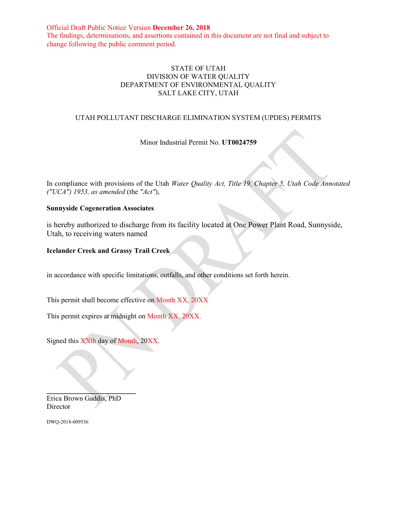Official Draft Public Notice Version December 26, 2018 The findings, determinations, and assertions contained in this document are not final and subject to change following the public comment period.

#### STATE OF UTAH DIVISION OF WATER QUALITY DEPARTMENT OF ENVIRONMENTAL QUALITY SALT LAKE CITY, UTAH

## UTAH POLLUTANT DISCHARGE ELIMINATION SYSTEM (UPDES) PERMITS

## Minor Industrial Permit No. UT0024759

In compliance with provisions of the Utah Water Quality Act, Title 19, Chapter 5, Utah Code Annotated  $('UCA'')$  1953, as amended (the "Act"),

#### Sunnyside Cogeneration Associates

is hereby authorized to discharge from its facility located at One Power Plant Road, Sunnyside, Utah, to receiving waters named

## Icelander Creek and Grassy Trail Creek

in accordance with specific limitations, outfalls, and other conditions set forth herein.

This permit shall become effective on Month XX, 20XX

This permit expires at midnight on Month XX, 20XX.

Signed this XXth day of Month, 20XX.

 $\mathcal{L}_\text{max}$  and  $\mathcal{L}_\text{max}$  and  $\mathcal{L}_\text{max}$ Erica Brown Gaddis, PhD **Director** 

DWQ-2018-009556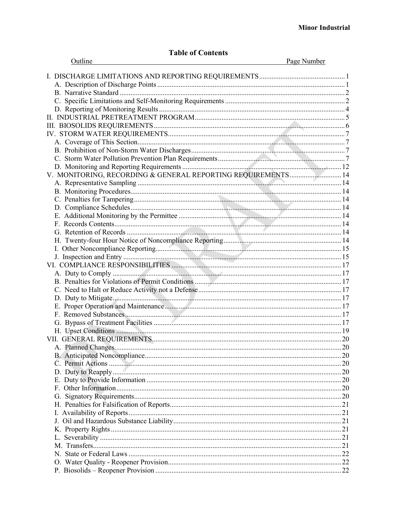|  | <b>Table of Contents</b> |
|--|--------------------------|
|  |                          |

Outline

| Page Number |  |
|-------------|--|
|             |  |

| V. MONITORING, RECORDING & GENERAL REPORTING REQUIREMENTS 14 |     |
|--------------------------------------------------------------|-----|
|                                                              |     |
|                                                              |     |
|                                                              |     |
|                                                              |     |
|                                                              |     |
|                                                              |     |
|                                                              |     |
|                                                              |     |
|                                                              |     |
|                                                              |     |
|                                                              |     |
|                                                              |     |
|                                                              |     |
|                                                              |     |
|                                                              |     |
|                                                              |     |
|                                                              |     |
|                                                              |     |
|                                                              |     |
|                                                              |     |
|                                                              | .20 |
|                                                              |     |
|                                                              |     |
|                                                              |     |
|                                                              |     |
|                                                              |     |
|                                                              |     |
|                                                              |     |
|                                                              |     |
|                                                              |     |
|                                                              |     |
|                                                              |     |
|                                                              |     |
|                                                              |     |
|                                                              |     |
|                                                              |     |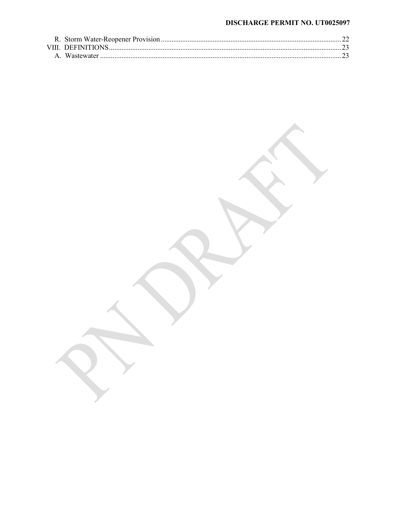# **DISCHARGE PERMIT NO. UT0025097**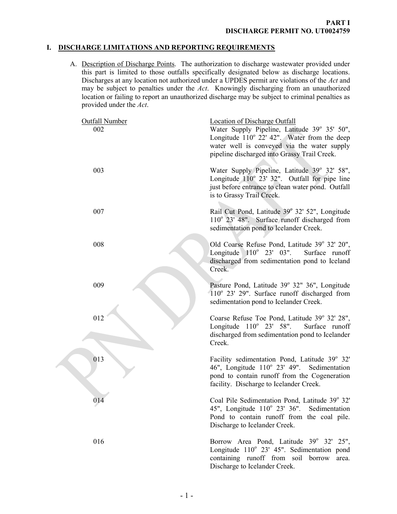# I. DISCHARGE LIMITATIONS AND REPORTING REQUIREMENTS

A. Description of Discharge Points. The authorization to discharge wastewater provided under this part is limited to those outfalls specifically designated below as discharge locations. Discharges at any location not authorized under a UPDES permit are violations of the Act and may be subject to penalties under the Act. Knowingly discharging from an unauthorized location or failing to report an unauthorized discharge may be subject to criminal penalties as provided under the Act.

| <b>Outfall Number</b> | Location of Discharge Outfall                                                                                                                                                              |
|-----------------------|--------------------------------------------------------------------------------------------------------------------------------------------------------------------------------------------|
| 002                   | Water Supply Pipeline, Latitude 39° 35' 50",<br>Longitude 110° 22' 42". Water from the deep<br>water well is conveyed via the water supply<br>pipeline discharged into Grassy Trail Creek. |
| 003                   | Water Supply Pipeline, Latitude 39° 32' 58",<br>Longitude 110° 23' 32". Outfall for pipe line<br>just before entrance to clean water pond. Outfall<br>is to Grassy Trail Creek.            |
| 007                   | Rail Cut Pond, Latitude 39° 32' 52", Longitude<br>110° 23' 48". Surface runoff discharged from<br>sedimentation pond to Icelander Creek.                                                   |
| 008                   | Old Coarse Refuse Pond, Latitude 39° 32′ 20",<br>Longitude 110° 23' 03". Surface runoff<br>discharged from sedimentation pond to Iceland<br>Creek.                                         |
| 009                   | Pasture Pond, Latitude 39° 32" 36", Longitude<br>$110^{\circ}$ 23' 29". Surface runoff discharged from<br>sedimentation pond to Icelander Creek.                                           |
| 012                   | Coarse Refuse Toe Pond, Latitude 39° 32′ 28",<br>Longitude $110^{\circ}$ 23' 58".<br>Surface runoff<br>discharged from sedimentation pond to Icelander<br>Creek.                           |
| 013                   | Facility sedimentation Pond, Latitude 39° 32'<br>46", Longitude 110° 23' 49". Sedimentation<br>pond to contain runoff from the Cogeneration<br>facility. Discharge to Icelander Creek.     |
| 014                   | Coal Pile Sedimentation Pond, Latitude 39° 32'<br>45", Longitude 110° 23' 36". Sedimentation<br>Pond to contain runoff from the coal pile.<br>Discharge to Icelander Creek.                |
| 016                   | Borrow Area Pond, Latitude 39° 32′ 25",<br>Longitude 110° 23' 45". Sedimentation pond<br>containing runoff from soil borrow area.<br>Discharge to Icelander Creek.                         |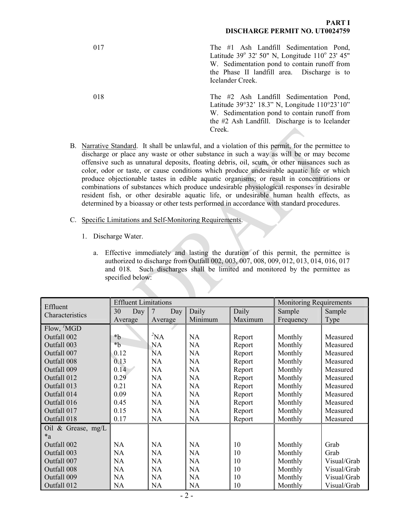017 The #1 Ash Landfill Sedimentation Pond, Latitude 39° 32' 50" N, Longitude 110° 23' 45" W. Sedimentation pond to contain runoff from the Phase II landfill area. Discharge is to Icelander Creek.

 018 The #2 Ash Landfill Sedimentation Pond, Latitude 39°32' 18.3" N, Longitude 110°23'10" W. Sedimentation pond to contain runoff from the #2 Ash Landfill. Discharge is to Icelander Creek.

- B. Narrative Standard. It shall be unlawful, and a violation of this permit, for the permittee to discharge or place any waste or other substance in such a way as will be or may become offensive such as unnatural deposits, floating debris, oil, scum, or other nuisances such as color, odor or taste, or cause conditions which produce undesirable aquatic life or which produce objectionable tastes in edible aquatic organisms; or result in concentrations or combinations of substances which produce undesirable physiological responses in desirable resident fish, or other desirable aquatic life, or undesirable human health effects, as determined by a bioassay or other tests performed in accordance with standard procedures.
- C. Specific Limitations and Self-Monitoring Requirements.
	- 1. Discharge Water.
		- a. Effective immediately and lasting the duration of this permit, the permittee is authorized to discharge from Outfall 002, 003, 007, 008, 009, 012, 013, 014, 016, 017 and 018. Such discharges shall be limited and monitored by the permittee as specified below:

| Effluent             | <b>Effluent Limitations</b> |                       | <b>Monitoring Requirements</b> |         |           |             |
|----------------------|-----------------------------|-----------------------|--------------------------------|---------|-----------|-------------|
| Characteristics      | 30<br>Day                   | $\overline{7}$<br>Day | Daily                          | Daily   | Sample    | Sample      |
|                      | Average                     | Average               | Minimum                        | Maximum | Frequency | Type        |
| Flow, $^{1}$ MGD     |                             |                       |                                |         |           |             |
| Outfall 002          | $*b$                        | $\lambda$ NA          | <b>NA</b>                      | Report  | Monthly   | Measured    |
| Outfall 003          | $*_{b}$                     | NA                    | <b>NA</b>                      | Report  | Monthly   | Measured    |
| Outfall 007          | 0.12                        | $\overline{NA}$       | <b>NA</b>                      | Report  | Monthly   | Measured    |
| Outfall 008          | 0.13                        | <b>NA</b>             | <b>NA</b>                      | Report  | Monthly   | Measured    |
| Outfall 009          | 0.14                        | <b>NA</b>             | <b>NA</b>                      | Report  | Monthly   | Measured    |
| Outfall 012          | 0.29                        | <b>NA</b>             | <b>NA</b>                      | Report  | Monthly   | Measured    |
| Outfall 013          | 0.21                        | <b>NA</b>             | <b>NA</b>                      | Report  | Monthly   | Measured    |
| Outfall 014          | 0.09                        | <b>NA</b>             | <b>NA</b>                      | Report  | Monthly   | Measured    |
| Outfall 016          | 0.45                        | <b>NA</b>             | <b>NA</b>                      | Report  | Monthly   | Measured    |
| Outfall 017          | 0.15                        | <b>NA</b>             | <b>NA</b>                      | Report  | Monthly   | Measured    |
| Outfall 018          | 0.17                        | NA                    | <b>NA</b>                      | Report  | Monthly   | Measured    |
| Oil & Grease, $mg/L$ |                             |                       |                                |         |           |             |
| $*_{a}$              |                             |                       |                                |         |           |             |
| Outfall 002          | NA                          | <b>NA</b>             | NA                             | 10      | Monthly   | Grab        |
| Outfall 003          | <b>NA</b>                   | <b>NA</b>             | NA                             | 10      | Monthly   | Grab        |
| Outfall 007          | <b>NA</b>                   | <b>NA</b>             | <b>NA</b>                      | 10      | Monthly   | Visual/Grab |
| Outfall 008          | <b>NA</b>                   | <b>NA</b>             | <b>NA</b>                      | 10      | Monthly   | Visual/Grab |
| Outfall 009          | <b>NA</b>                   | <b>NA</b>             | <b>NA</b>                      | 10      | Monthly   | Visual/Grab |
| Outfall 012          | NA                          | <b>NA</b>             | <b>NA</b>                      | 10      | Monthly   | Visual/Grab |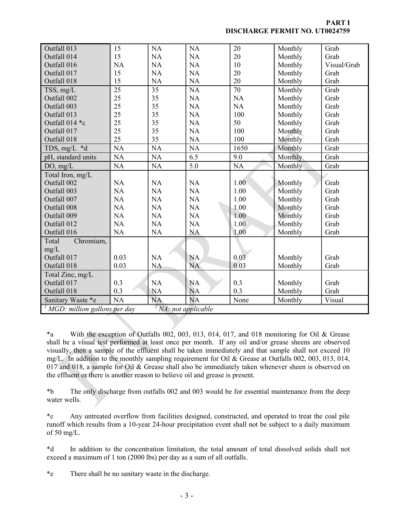PART I DISCHARGE PERMIT NO. UT0024759

| Outfall 013                                                   | 15        | <b>NA</b>       | NA        | 20                | Monthly | Grab        |
|---------------------------------------------------------------|-----------|-----------------|-----------|-------------------|---------|-------------|
| Outfall 014                                                   | 15        | NA              | NA        | 20                | Monthly | Grab        |
| Outfall 016                                                   | <b>NA</b> | <b>NA</b>       | <b>NA</b> | 10                | Monthly | Visual/Grab |
| Outfall 017                                                   | 15        | <b>NA</b>       | <b>NA</b> | 20                | Monthly | Grab        |
| Outfall 018                                                   | 15        | <b>NA</b>       | NA        | 20                | Monthly | Grab        |
| TSS, mg/L                                                     | 25        | $\overline{35}$ | NA        | 70                | Monthly | Grab        |
| Outfall 002                                                   | 25        | 35              | <b>NA</b> | NA                | Monthly | Grab        |
| Outfall 003                                                   | 25        | 35              | NA        | NA                | Monthly | Grab        |
| Outfall 013                                                   | 25        | 35              | NA        | 100               | Monthly | Grab        |
| Outfall 014 *c                                                | 25        | 35              | <b>NA</b> | 50                | Monthly | Grab        |
| Outfall 017                                                   | 25        | 35              | <b>NA</b> | 100               | Monthly | Grab        |
| Outfall 018                                                   | 25        | 35              | <b>NA</b> | 100               | Monthly | Grab        |
| TDS, mg/L *d                                                  | <b>NA</b> | <b>NA</b>       | <b>NA</b> | 1650              | Monthly | Grab        |
| pH, standard units                                            | <b>NA</b> | NA              | 6.5       | 9.0               | Monthly | Grab        |
| DO, mg/L                                                      | <b>NA</b> | NA              | 5.0       | NA                | Monthly | Grab        |
| Total Iron, mg/L                                              |           |                 |           |                   |         |             |
| Outfall 002                                                   | <b>NA</b> | <b>NA</b>       | NA        | 1.00 <sub>1</sub> | Monthly | Grab        |
| Outfall 003                                                   | <b>NA</b> | <b>NA</b>       | NA        | 1.00              | Monthly | Grab        |
| Outfall 007                                                   | NA        | <b>NA</b>       | NA        | 1.00              | Monthly | Grab        |
| Outfall 008                                                   | <b>NA</b> | NA              | NA        | 1.00              | Monthly | Grab        |
| Outfall 009                                                   | <b>NA</b> | NA              | NA        | 1.00              | Monthly | Grab        |
| Outfall 012                                                   | <b>NA</b> | NA              | <b>NA</b> | 1.00              | Monthly | Grab        |
| Outfall 016                                                   | <b>NA</b> | NA              | <b>NA</b> | 1.00              | Monthly | Grab        |
| Total<br>Chromium,                                            |           |                 |           |                   |         |             |
| mg/L                                                          |           |                 |           |                   |         |             |
| Outfall 017                                                   | 0.03      | <b>NA</b>       | <b>NA</b> | 0.03              | Monthly | Grab        |
| Outfall 018                                                   | 0.03      | <b>NA</b>       | <b>NA</b> | 0.03              | Monthly | Grab        |
| Total Zinc, mg/L                                              |           |                 |           |                   |         |             |
| Outfall 017                                                   | 0.3       | NA              | <b>NA</b> | 0.3               | Monthly | Grab        |
| Outfall 018                                                   | 0.3       | <b>NA</b>       | <b>NA</b> | 0.3               | Monthly | Grab        |
| Sanitary Waste *e                                             | <b>NA</b> | <b>NA</b>       | <b>NA</b> | None              | Monthly | Visual      |
| $\sqrt[2]{NA}$ not applicable<br>MGD: million gallons per day |           |                 |           |                   |         |             |

\*a With the exception of Outfalls 002, 003, 013, 014, 017, and 018 monitoring for Oil & Grease shall be a visual test performed at least once per month. If any oil and/or grease sheens are observed visually, then a sample of the effluent shall be taken immediately and that sample shall not exceed 10 mg/L. In addition to the monthly sampling requirement for Oil & Grease at Outfalls 002, 003, 013, 014, 017 and 018, a sample for Oil & Grease shall also be immediately taken whenever sheen is observed on the effluent or there is another reason to believe oil and grease is present.

\*b The only discharge from outfalls 002 and 003 would be for essential maintenance from the deep water wells.

\*c Any untreated overflow from facilities designed, constructed, and operated to treat the coal pile runoff which results from a 10-year 24-hour precipitation event shall not be subject to a daily maximum of 50 mg/L.

\*d In addition to the concentration limitation, the total amount of total dissolved solids shall not exceed a maximum of 1 ton (2000 lbs) per day as a sum of all outfalls.

\*e There shall be no sanitary waste in the discharge.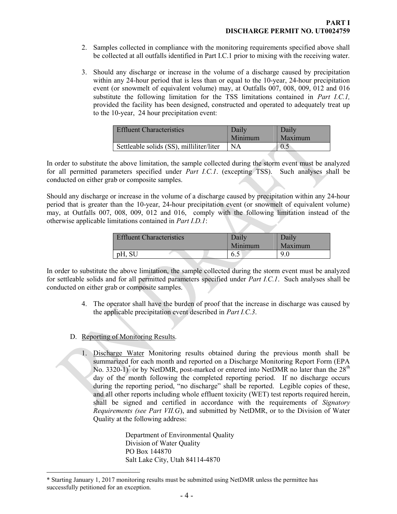- 2. Samples collected in compliance with the monitoring requirements specified above shall be collected at all outfalls identified in Part I.C.1 prior to mixing with the receiving water.
- 3. Should any discharge or increase in the volume of a discharge caused by precipitation within any 24-hour period that is less than or equal to the 10-year, 24-hour precipitation event (or snowmelt of equivalent volume) may, at Outfalls 007, 008, 009, 012 and 016 substitute the following limitation for the TSS limitations contained in Part I.C.1, provided the facility has been designed, constructed and operated to adequately treat up to the 10-year, 24 hour precipitation event:

| <b>Effluent Characteristics</b>          | Daily     | Daily   |  |
|------------------------------------------|-----------|---------|--|
|                                          | Minimum   | Maximum |  |
| Settleable solids (SS), milliliter/liter | <b>NA</b> | 0.5     |  |

In order to substitute the above limitation, the sample collected during the storm event must be analyzed for all permitted parameters specified under Part I.C.1. (excepting TSS). Such analyses shall be conducted on either grab or composite samples.

Should any discharge or increase in the volume of a discharge caused by precipitation within any 24-hour period that is greater than the 10-year, 24-hour precipitation event (or snowmelt of equivalent volume) may, at Outfalls 007, 008, 009, 012 and 016, comply with the following limitation instead of the otherwise applicable limitations contained in Part I.D.1:

| <b>Effluent Characteristics</b> | Daily<br>Minimum | Daily<br>Maximum |
|---------------------------------|------------------|------------------|
| pH,                             | 0.5              | 9.0              |

In order to substitute the above limitation, the sample collected during the storm event must be analyzed for settleable solids and for all permitted parameters specified under Part I.C.1. Such analyses shall be conducted on either grab or composite samples.

- 4. The operator shall have the burden of proof that the increase in discharge was caused by the applicable precipitation event described in Part I.C.3.
- D. Reporting of Monitoring Results.

 $\overline{a}$ 

1. Discharge Water Monitoring results obtained during the previous month shall be summarized for each month and reported on a Discharge Monitoring Report Form (EPA No. 3320-1)<sup>\*</sup> or by NetDMR, post-marked or entered into NetDMR no later than the  $28<sup>th</sup>$ day of the month following the completed reporting period. If no discharge occurs during the reporting period, "no discharge" shall be reported. Legible copies of these, and all other reports including whole effluent toxicity (WET) test reports required herein, shall be signed and certified in accordance with the requirements of Signatory Requirements (see Part VII.G), and submitted by NetDMR, or to the Division of Water Quality at the following address:

> Department of Environmental Quality Division of Water Quality PO Box 144870 Salt Lake City, Utah 84114-4870

<sup>\*</sup> Starting January 1, 2017 monitoring results must be submitted using NetDMR unless the permittee has successfully petitioned for an exception.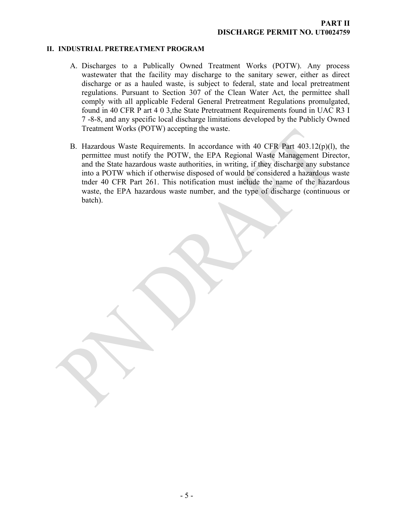#### II. INDUSTRIAL PRETREATMENT PROGRAM

- A. Discharges to a Publically Owned Treatment Works (POTW). Any process wastewater that the facility may discharge to the sanitary sewer, either as direct discharge or as a hauled waste, is subject to federal, state and local pretreatment regulations. Pursuant to Section 307 of the Clean Water Act, the permittee shall comply with all applicable Federal General Pretreatment Regulations promulgated, found in 40 CFR P art 4 0 3,the State Pretreatment Requirements found in UAC R3 I 7 -8-8, and any specific local discharge limitations developed by the Publicly Owned Treatment Works (POTW) accepting the waste.
- B. Hazardous Waste Requirements. In accordance with 40 CFR Part 403.12(p)(l), the permittee must notify the POTW, the EPA Regional Waste Management Director, and the State hazardous waste authorities, in writing, if they discharge any substance into a POTW which if otherwise disposed of would be considered a hazardous waste tnder 40 CFR Part 261. This notification must include the name of the hazardous waste, the EPA hazardous waste number, and the type of discharge (continuous or batch).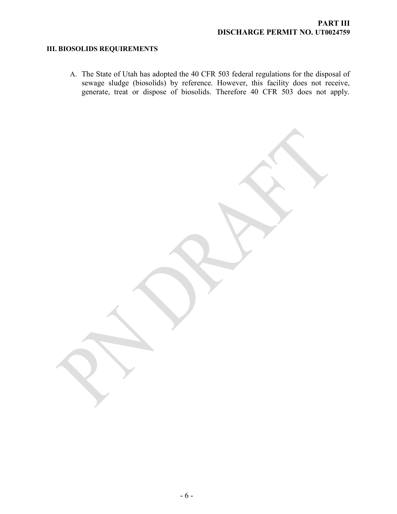## III. BIOSOLIDS REQUIREMENTS

A. The State of Utah has adopted the 40 CFR 503 federal regulations for the disposal of sewage sludge (biosolids) by reference. However, this facility does not receive, generate, treat or dispose of biosolids. Therefore 40 CFR 503 does not apply.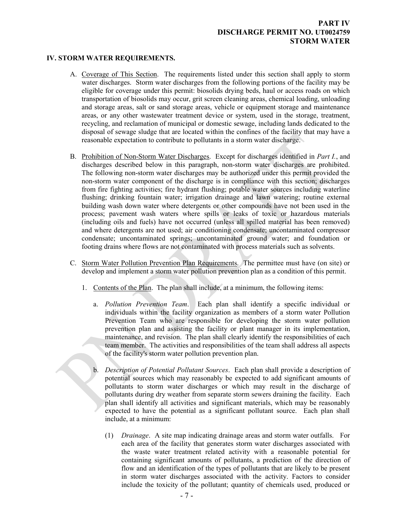#### IV. STORM WATER REQUIREMENTS.

- A. Coverage of This Section. The requirements listed under this section shall apply to storm water discharges. Storm water discharges from the following portions of the facility may be eligible for coverage under this permit: biosolids drying beds, haul or access roads on which transportation of biosolids may occur, grit screen cleaning areas, chemical loading, unloading and storage areas, salt or sand storage areas, vehicle or equipment storage and maintenance areas, or any other wastewater treatment device or system, used in the storage, treatment, recycling, and reclamation of municipal or domestic sewage, including lands dedicated to the disposal of sewage sludge that are located within the confines of the facility that may have a reasonable expectation to contribute to pollutants in a storm water discharge.
- B. Prohibition of Non-Storm Water Discharges. Except for discharges identified in Part I., and discharges described below in this paragraph, non-storm water discharges are prohibited. The following non-storm water discharges may be authorized under this permit provided the non-storm water component of the discharge is in compliance with this section; discharges from fire fighting activities; fire hydrant flushing; potable water sources including waterline flushing; drinking fountain water; irrigation drainage and lawn watering; routine external building wash down water where detergents or other compounds have not been used in the process; pavement wash waters where spills or leaks of toxic or hazardous materials (including oils and fuels) have not occurred (unless all spilled material has been removed) and where detergents are not used; air conditioning condensate; uncontaminated compressor condensate; uncontaminated springs; uncontaminated ground water; and foundation or footing drains where flows are not contaminated with process materials such as solvents.
- C. Storm Water Pollution Prevention Plan Requirements. The permittee must have (on site) or develop and implement a storm water pollution prevention plan as a condition of this permit.
	- 1. Contents of the Plan. The plan shall include, at a minimum, the following items:
		- a. Pollution Prevention Team. Each plan shall identify a specific individual or individuals within the facility organization as members of a storm water Pollution Prevention Team who are responsible for developing the storm water pollution prevention plan and assisting the facility or plant manager in its implementation, maintenance, and revision. The plan shall clearly identify the responsibilities of each team member. The activities and responsibilities of the team shall address all aspects of the facility's storm water pollution prevention plan.
		- b. Description of Potential Pollutant Sources. Each plan shall provide a description of potential sources which may reasonably be expected to add significant amounts of pollutants to storm water discharges or which may result in the discharge of pollutants during dry weather from separate storm sewers draining the facility. Each plan shall identify all activities and significant materials, which may be reasonably expected to have the potential as a significant pollutant source. Each plan shall include, at a minimum:
			- (1) Drainage. A site map indicating drainage areas and storm water outfalls. For each area of the facility that generates storm water discharges associated with the waste water treatment related activity with a reasonable potential for containing significant amounts of pollutants, a prediction of the direction of flow and an identification of the types of pollutants that are likely to be present in storm water discharges associated with the activity. Factors to consider include the toxicity of the pollutant; quantity of chemicals used, produced or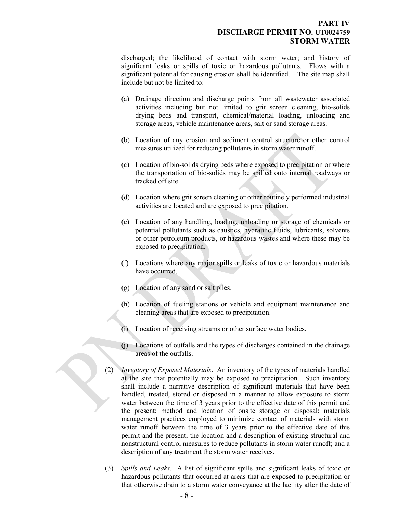discharged; the likelihood of contact with storm water; and history of significant leaks or spills of toxic or hazardous pollutants. Flows with a significant potential for causing erosion shall be identified. The site map shall include but not be limited to:

- (a) Drainage direction and discharge points from all wastewater associated activities including but not limited to grit screen cleaning, bio-solids drying beds and transport, chemical/material loading, unloading and storage areas, vehicle maintenance areas, salt or sand storage areas.
- (b) Location of any erosion and sediment control structure or other control measures utilized for reducing pollutants in storm water runoff.
- (c) Location of bio-solids drying beds where exposed to precipitation or where the transportation of bio-solids may be spilled onto internal roadways or tracked off site.
- (d) Location where grit screen cleaning or other routinely performed industrial activities are located and are exposed to precipitation.
- (e) Location of any handling, loading, unloading or storage of chemicals or potential pollutants such as caustics, hydraulic fluids, lubricants, solvents or other petroleum products, or hazardous wastes and where these may be exposed to precipitation.
- (f) Locations where any major spills or leaks of toxic or hazardous materials have occurred.
- (g) Location of any sand or salt piles.
- (h) Location of fueling stations or vehicle and equipment maintenance and cleaning areas that are exposed to precipitation.
- (i) Location of receiving streams or other surface water bodies.
- (j) Locations of outfalls and the types of discharges contained in the drainage areas of the outfalls.
- (2) Inventory of Exposed Materials. An inventory of the types of materials handled at the site that potentially may be exposed to precipitation. Such inventory shall include a narrative description of significant materials that have been handled, treated, stored or disposed in a manner to allow exposure to storm water between the time of 3 years prior to the effective date of this permit and the present; method and location of onsite storage or disposal; materials management practices employed to minimize contact of materials with storm water runoff between the time of 3 years prior to the effective date of this permit and the present; the location and a description of existing structural and nonstructural control measures to reduce pollutants in storm water runoff; and a description of any treatment the storm water receives.
- (3) Spills and Leaks. A list of significant spills and significant leaks of toxic or hazardous pollutants that occurred at areas that are exposed to precipitation or that otherwise drain to a storm water conveyance at the facility after the date of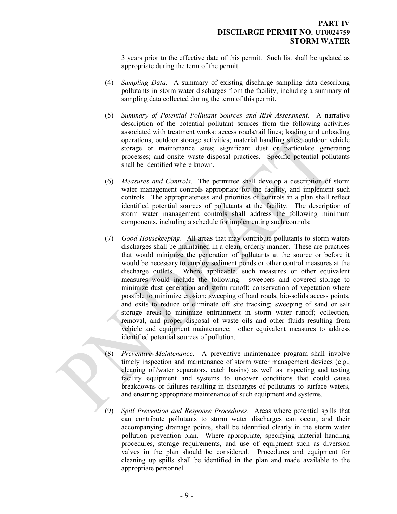3 years prior to the effective date of this permit. Such list shall be updated as appropriate during the term of the permit.

- (4) Sampling Data. A summary of existing discharge sampling data describing pollutants in storm water discharges from the facility, including a summary of sampling data collected during the term of this permit.
- (5) Summary of Potential Pollutant Sources and Risk Assessment. A narrative description of the potential pollutant sources from the following activities associated with treatment works: access roads/rail lines; loading and unloading operations; outdoor storage activities; material handling sites; outdoor vehicle storage or maintenance sites; significant dust or particulate generating processes; and onsite waste disposal practices. Specific potential pollutants shall be identified where known.
- (6) Measures and Controls. The permittee shall develop a description of storm water management controls appropriate for the facility, and implement such controls. The appropriateness and priorities of controls in a plan shall reflect identified potential sources of pollutants at the facility. The description of storm water management controls shall address the following minimum components, including a schedule for implementing such controls:
- (7) Good Housekeeping. All areas that may contribute pollutants to storm waters discharges shall be maintained in a clean, orderly manner. These are practices that would minimize the generation of pollutants at the source or before it would be necessary to employ sediment ponds or other control measures at the discharge outlets. Where applicable, such measures or other equivalent measures would include the following: sweepers and covered storage to minimize dust generation and storm runoff; conservation of vegetation where possible to minimize erosion; sweeping of haul roads, bio-solids access points, and exits to reduce or eliminate off site tracking; sweeping of sand or salt storage areas to minimize entrainment in storm water runoff; collection, removal, and proper disposal of waste oils and other fluids resulting from vehicle and equipment maintenance; other equivalent measures to address identified potential sources of pollution.
- (8) Preventive Maintenance. A preventive maintenance program shall involve timely inspection and maintenance of storm water management devices (e.g., cleaning oil/water separators, catch basins) as well as inspecting and testing facility equipment and systems to uncover conditions that could cause breakdowns or failures resulting in discharges of pollutants to surface waters, and ensuring appropriate maintenance of such equipment and systems.
- (9) Spill Prevention and Response Procedures. Areas where potential spills that can contribute pollutants to storm water discharges can occur, and their accompanying drainage points, shall be identified clearly in the storm water pollution prevention plan. Where appropriate, specifying material handling procedures, storage requirements, and use of equipment such as diversion valves in the plan should be considered. Procedures and equipment for cleaning up spills shall be identified in the plan and made available to the appropriate personnel.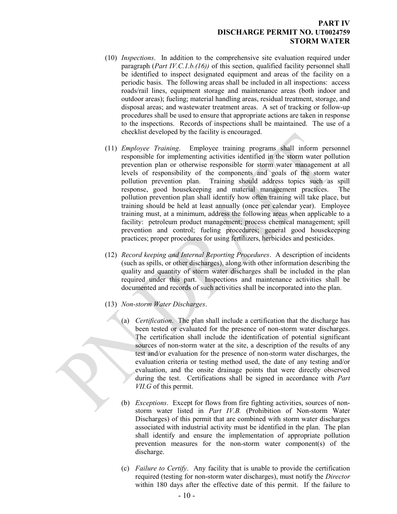- (10) Inspections. In addition to the comprehensive site evaluation required under paragraph (*Part IV.C.1.b.(16)*) of this section, qualified facility personnel shall be identified to inspect designated equipment and areas of the facility on a periodic basis. The following areas shall be included in all inspections: access roads/rail lines, equipment storage and maintenance areas (both indoor and outdoor areas); fueling; material handling areas, residual treatment, storage, and disposal areas; and wastewater treatment areas. A set of tracking or follow-up procedures shall be used to ensure that appropriate actions are taken in response to the inspections. Records of inspections shall be maintained. The use of a checklist developed by the facility is encouraged.
- (11) Employee Training. Employee training programs shall inform personnel responsible for implementing activities identified in the storm water pollution prevention plan or otherwise responsible for storm water management at all levels of responsibility of the components and goals of the storm water pollution prevention plan. Training should address topics such as spill response, good housekeeping and material management practices. The pollution prevention plan shall identify how often training will take place, but training should be held at least annually (once per calendar year). Employee training must, at a minimum, address the following areas when applicable to a facility: petroleum product management; process chemical management; spill prevention and control; fueling procedures; general good housekeeping practices; proper procedures for using fertilizers, herbicides and pesticides.
- (12) Record keeping and Internal Reporting Procedures. A description of incidents (such as spills, or other discharges), along with other information describing the quality and quantity of storm water discharges shall be included in the plan required under this part. Inspections and maintenance activities shall be documented and records of such activities shall be incorporated into the plan.
- (13) Non-storm Water Discharges.
	- (a) Certification. The plan shall include a certification that the discharge has been tested or evaluated for the presence of non-storm water discharges. The certification shall include the identification of potential significant sources of non-storm water at the site, a description of the results of any test and/or evaluation for the presence of non-storm water discharges, the evaluation criteria or testing method used, the date of any testing and/or evaluation, and the onsite drainage points that were directly observed during the test. Certifications shall be signed in accordance with Part VII.G of this permit.
	- (b) Exceptions. Except for flows from fire fighting activities, sources of nonstorm water listed in Part IV.B. (Prohibition of Non-storm Water Discharges) of this permit that are combined with storm water discharges associated with industrial activity must be identified in the plan. The plan shall identify and ensure the implementation of appropriate pollution prevention measures for the non-storm water component(s) of the discharge.
	- (c) Failure to Certify. Any facility that is unable to provide the certification required (testing for non-storm water discharges), must notify the Director within 180 days after the effective date of this permit. If the failure to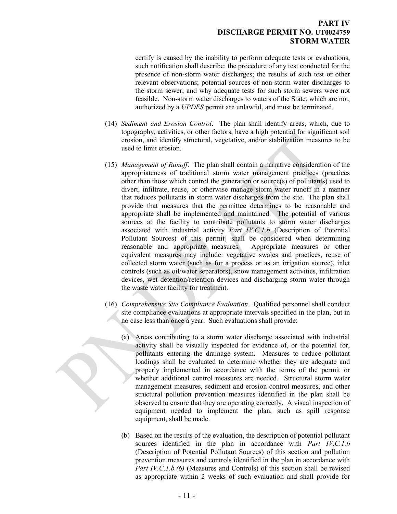certify is caused by the inability to perform adequate tests or evaluations, such notification shall describe: the procedure of any test conducted for the presence of non-storm water discharges; the results of such test or other relevant observations; potential sources of non-storm water discharges to the storm sewer; and why adequate tests for such storm sewers were not feasible. Non-storm water discharges to waters of the State, which are not, authorized by a UPDES permit are unlawful, and must be terminated.

- (14) Sediment and Erosion Control. The plan shall identify areas, which, due to topography, activities, or other factors, have a high potential for significant soil erosion, and identify structural, vegetative, and/or stabilization measures to be used to limit erosion.
- (15) Management of Runoff. The plan shall contain a narrative consideration of the appropriateness of traditional storm water management practices (practices other than those which control the generation or source(s) of pollutants) used to divert, infiltrate, reuse, or otherwise manage storm water runoff in a manner that reduces pollutants in storm water discharges from the site. The plan shall provide that measures that the permittee determines to be reasonable and appropriate shall be implemented and maintained. The potential of various sources at the facility to contribute pollutants to storm water discharges associated with industrial activity Part IV.C.1.b (Description of Potential Pollutant Sources) of this permit] shall be considered when determining reasonable and appropriate measures. Appropriate measures or other equivalent measures may include: vegetative swales and practices, reuse of collected storm water (such as for a process or as an irrigation source), inlet controls (such as oil/water separators), snow management activities, infiltration devices, wet detention/retention devices and discharging storm water through the waste water facility for treatment.
- (16) Comprehensive Site Compliance Evaluation. Qualified personnel shall conduct site compliance evaluations at appropriate intervals specified in the plan, but in no case less than once a year. Such evaluations shall provide:
	- (a) Areas contributing to a storm water discharge associated with industrial activity shall be visually inspected for evidence of, or the potential for, pollutants entering the drainage system. Measures to reduce pollutant loadings shall be evaluated to determine whether they are adequate and properly implemented in accordance with the terms of the permit or whether additional control measures are needed. Structural storm water management measures, sediment and erosion control measures, and other structural pollution prevention measures identified in the plan shall be observed to ensure that they are operating correctly. A visual inspection of equipment needed to implement the plan, such as spill response equipment, shall be made.
	- (b) Based on the results of the evaluation, the description of potential pollutant sources identified in the plan in accordance with *Part IV.C.1.b* (Description of Potential Pollutant Sources) of this section and pollution prevention measures and controls identified in the plan in accordance with Part IV.C.1.b.(6) (Measures and Controls) of this section shall be revised as appropriate within 2 weeks of such evaluation and shall provide for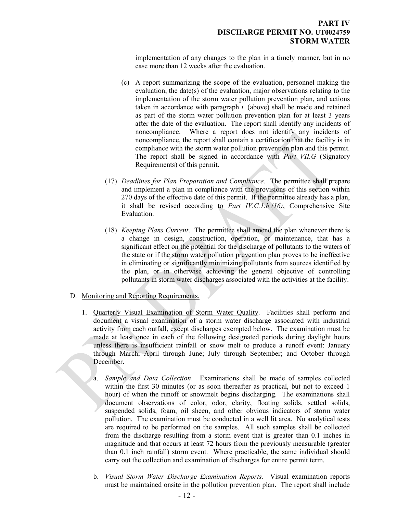implementation of any changes to the plan in a timely manner, but in no case more than 12 weeks after the evaluation.

- (c) A report summarizing the scope of the evaluation, personnel making the evaluation, the date(s) of the evaluation, major observations relating to the implementation of the storm water pollution prevention plan, and actions taken in accordance with paragraph  $i$ . (above) shall be made and retained as part of the storm water pollution prevention plan for at least 3 years after the date of the evaluation. The report shall identify any incidents of noncompliance. Where a report does not identify any incidents of noncompliance, the report shall contain a certification that the facility is in compliance with the storm water pollution prevention plan and this permit. The report shall be signed in accordance with *Part VII.G* (Signatory Requirements) of this permit.
- (17) Deadlines for Plan Preparation and Compliance. The permittee shall prepare and implement a plan in compliance with the provisions of this section within 270 days of the effective date of this permit. If the permittee already has a plan, it shall be revised according to Part IV.C.1.b.(16), Comprehensive Site Evaluation.
- (18) Keeping Plans Current. The permittee shall amend the plan whenever there is a change in design, construction, operation, or maintenance, that has a significant effect on the potential for the discharge of pollutants to the waters of the state or if the storm water pollution prevention plan proves to be ineffective in eliminating or significantly minimizing pollutants from sources identified by the plan, or in otherwise achieving the general objective of controlling pollutants in storm water discharges associated with the activities at the facility.
- D. Monitoring and Reporting Requirements.
	- 1. Quarterly Visual Examination of Storm Water Quality. Facilities shall perform and document a visual examination of a storm water discharge associated with industrial activity from each outfall, except discharges exempted below. The examination must be made at least once in each of the following designated periods during daylight hours unless there is insufficient rainfall or snow melt to produce a runoff event: January through March; April through June; July through September; and October through December.
		- a. Sample and Data Collection. Examinations shall be made of samples collected within the first 30 minutes (or as soon thereafter as practical, but not to exceed 1 hour) of when the runoff or snowmelt begins discharging. The examinations shall document observations of color, odor, clarity, floating solids, settled solids, suspended solids, foam, oil sheen, and other obvious indicators of storm water pollution. The examination must be conducted in a well lit area. No analytical tests are required to be performed on the samples. All such samples shall be collected from the discharge resulting from a storm event that is greater than 0.1 inches in magnitude and that occurs at least 72 hours from the previously measurable (greater than 0.1 inch rainfall) storm event. Where practicable, the same individual should carry out the collection and examination of discharges for entire permit term.
		- b. Visual Storm Water Discharge Examination Reports. Visual examination reports must be maintained onsite in the pollution prevention plan. The report shall include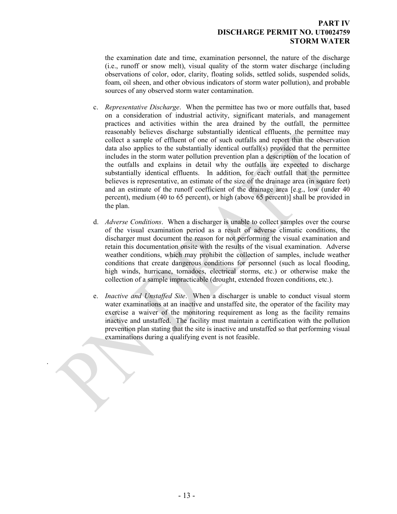the examination date and time, examination personnel, the nature of the discharge (i.e., runoff or snow melt), visual quality of the storm water discharge (including observations of color, odor, clarity, floating solids, settled solids, suspended solids, foam, oil sheen, and other obvious indicators of storm water pollution), and probable sources of any observed storm water contamination.

- c. Representative Discharge. When the permittee has two or more outfalls that, based on a consideration of industrial activity, significant materials, and management practices and activities within the area drained by the outfall, the permittee reasonably believes discharge substantially identical effluents, the permittee may collect a sample of effluent of one of such outfalls and report that the observation data also applies to the substantially identical outfall(s) provided that the permittee includes in the storm water pollution prevention plan a description of the location of the outfalls and explains in detail why the outfalls are expected to discharge substantially identical effluents. In addition, for each outfall that the permittee believes is representative, an estimate of the size of the drainage area (in square feet) and an estimate of the runoff coefficient of the drainage area [e.g., low (under 40 percent), medium (40 to 65 percent), or high (above 65 percent)] shall be provided in the plan.
- d. Adverse Conditions. When a discharger is unable to collect samples over the course of the visual examination period as a result of adverse climatic conditions, the discharger must document the reason for not performing the visual examination and retain this documentation onsite with the results of the visual examination. Adverse weather conditions, which may prohibit the collection of samples, include weather conditions that create dangerous conditions for personnel (such as local flooding, high winds, hurricane, tornadoes, electrical storms, etc.) or otherwise make the collection of a sample impracticable (drought, extended frozen conditions, etc.).
- e. Inactive and Unstaffed Site. When a discharger is unable to conduct visual storm water examinations at an inactive and unstaffed site, the operator of the facility may exercise a waiver of the monitoring requirement as long as the facility remains inactive and unstaffed. The facility must maintain a certification with the pollution prevention plan stating that the site is inactive and unstaffed so that performing visual examinations during a qualifying event is not feasible.

.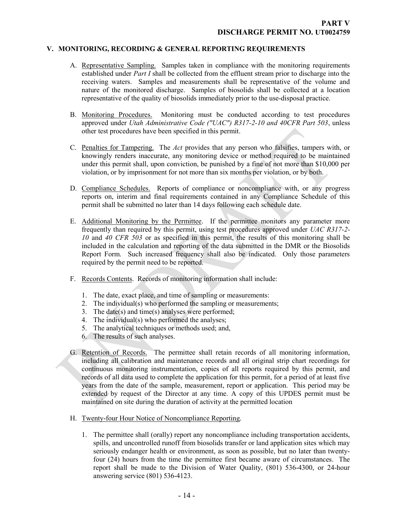#### V. MONITORING, RECORDING & GENERAL REPORTING REQUIREMENTS

- A. Representative Sampling. Samples taken in compliance with the monitoring requirements established under *Part I* shall be collected from the effluent stream prior to discharge into the receiving waters. Samples and measurements shall be representative of the volume and nature of the monitored discharge. Samples of biosolids shall be collected at a location representative of the quality of biosolids immediately prior to the use-disposal practice.
- B. Monitoring Procedures. Monitoring must be conducted according to test procedures approved under Utah Administrative Code ("UAC") R317-2-10 and 40CFR Part 503, unless other test procedures have been specified in this permit.
- C. Penalties for Tampering. The Act provides that any person who falsifies, tampers with, or knowingly renders inaccurate, any monitoring device or method required to be maintained under this permit shall, upon conviction, be punished by a fine of not more than \$10,000 per violation, or by imprisonment for not more than six months per violation, or by both.
- D. Compliance Schedules. Reports of compliance or noncompliance with, or any progress reports on, interim and final requirements contained in any Compliance Schedule of this permit shall be submitted no later than 14 days following each schedule date.
- E. Additional Monitoring by the Permittee. If the permittee monitors any parameter more frequently than required by this permit, using test procedures approved under UAC R317-2- 10 and 40 CFR 503 or as specified in this permit, the results of this monitoring shall be included in the calculation and reporting of the data submitted in the DMR or the Biosolids Report Form. Such increased frequency shall also be indicated. Only those parameters required by the permit need to be reported.
- F. Records Contents. Records of monitoring information shall include:
	- 1. The date, exact place, and time of sampling or measurements:
	- 2. The individual $(s)$  who performed the sampling or measurements;
	- 3. The date(s) and time(s) analyses were performed;
	- 4. The individual(s) who performed the analyses;
	- 5. The analytical techniques or methods used; and,
	- 6. The results of such analyses.
- G. Retention of Records. The permittee shall retain records of all monitoring information, including all calibration and maintenance records and all original strip chart recordings for continuous monitoring instrumentation, copies of all reports required by this permit, and records of all data used to complete the application for this permit, for a period of at least five years from the date of the sample, measurement, report or application. This period may be extended by request of the Director at any time. A copy of this UPDES permit must be maintained on site during the duration of activity at the permitted location
- H. Twenty-four Hour Notice of Noncompliance Reporting.
	- 1. The permittee shall (orally) report any noncompliance including transportation accidents, spills, and uncontrolled runoff from biosolids transfer or land application sites which may seriously endanger health or environment, as soon as possible, but no later than twentyfour (24) hours from the time the permittee first became aware of circumstances. The report shall be made to the Division of Water Quality, (801) 536-4300, or 24-hour answering service (801) 536-4123.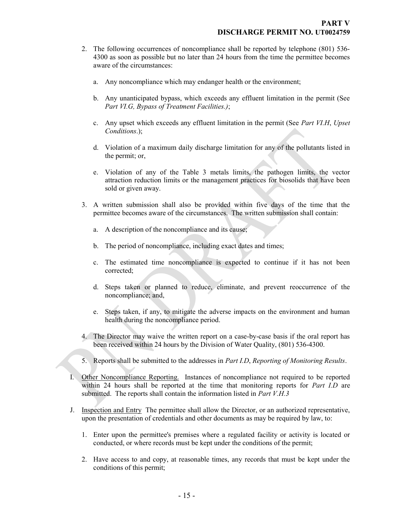- 2. The following occurrences of noncompliance shall be reported by telephone (801) 536- 4300 as soon as possible but no later than 24 hours from the time the permittee becomes aware of the circumstances:
	- a. Any noncompliance which may endanger health or the environment;
	- b. Any unanticipated bypass, which exceeds any effluent limitation in the permit (See Part VI.G, Bypass of Treatment Facilities.);
	- c. Any upset which exceeds any effluent limitation in the permit (See Part VI.H, Upset Conditions.);
	- d. Violation of a maximum daily discharge limitation for any of the pollutants listed in the permit; or,
	- e. Violation of any of the Table 3 metals limits, the pathogen limits, the vector attraction reduction limits or the management practices for biosolids that have been sold or given away.
- 3. A written submission shall also be provided within five days of the time that the permittee becomes aware of the circumstances. The written submission shall contain:
	- a. A description of the noncompliance and its cause;
	- b. The period of noncompliance, including exact dates and times;
	- c. The estimated time noncompliance is expected to continue if it has not been corrected;
	- d. Steps taken or planned to reduce, eliminate, and prevent reoccurrence of the noncompliance; and,
	- e. Steps taken, if any, to mitigate the adverse impacts on the environment and human health during the noncompliance period.
- 4. The Director may waive the written report on a case-by-case basis if the oral report has been received within 24 hours by the Division of Water Quality, (801) 536-4300.
- 5. Reports shall be submitted to the addresses in Part I.D, Reporting of Monitoring Results.
- I. Other Noncompliance Reporting. Instances of noncompliance not required to be reported within 24 hours shall be reported at the time that monitoring reports for Part I.D are submitted. The reports shall contain the information listed in *Part V.H.3*
- J. Inspection and Entry The permittee shall allow the Director, or an authorized representative, upon the presentation of credentials and other documents as may be required by law, to:
	- 1. Enter upon the permittee's premises where a regulated facility or activity is located or conducted, or where records must be kept under the conditions of the permit;
	- 2. Have access to and copy, at reasonable times, any records that must be kept under the conditions of this permit;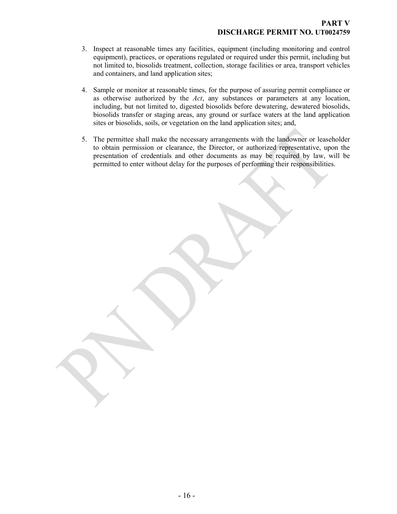- 3. Inspect at reasonable times any facilities, equipment (including monitoring and control equipment), practices, or operations regulated or required under this permit, including but not limited to, biosolids treatment, collection, storage facilities or area, transport vehicles and containers, and land application sites;
- 4. Sample or monitor at reasonable times, for the purpose of assuring permit compliance or as otherwise authorized by the  $Act$ , any substances or parameters at any location, including, but not limited to, digested biosolids before dewatering, dewatered biosolids, biosolids transfer or staging areas, any ground or surface waters at the land application sites or biosolids, soils, or vegetation on the land application sites; and,
- 5. The permittee shall make the necessary arrangements with the landowner or leaseholder to obtain permission or clearance, the Director, or authorized representative, upon the presentation of credentials and other documents as may be required by law, will be permitted to enter without delay for the purposes of performing their responsibilities.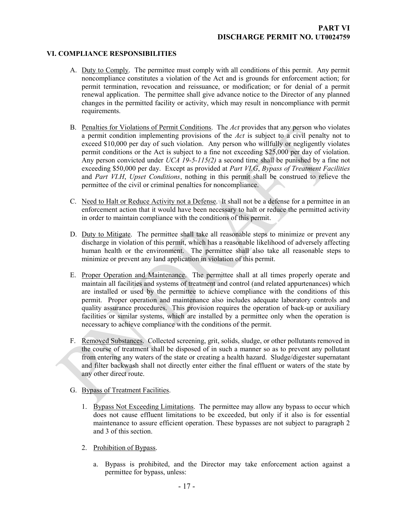#### VI. COMPLIANCE RESPONSIBILITIES

- A. Duty to Comply. The permittee must comply with all conditions of this permit. Any permit noncompliance constitutes a violation of the Act and is grounds for enforcement action; for permit termination, revocation and reissuance, or modification; or for denial of a permit renewal application. The permittee shall give advance notice to the Director of any planned changes in the permitted facility or activity, which may result in noncompliance with permit requirements.
- B. Penalties for Violations of Permit Conditions. The Act provides that any person who violates a permit condition implementing provisions of the Act is subject to a civil penalty not to exceed \$10,000 per day of such violation. Any person who willfully or negligently violates permit conditions or the Act is subject to a fine not exceeding \$25,000 per day of violation. Any person convicted under  $UCA$  19-5-115(2) a second time shall be punished by a fine not exceeding \$50,000 per day. Except as provided at *Part VI.G, Bypass of Treatment Facilities* and Part VI.H, Upset Conditions, nothing in this permit shall be construed to relieve the permittee of the civil or criminal penalties for noncompliance.
- C. Need to Halt or Reduce Activity not a Defense. It shall not be a defense for a permittee in an enforcement action that it would have been necessary to halt or reduce the permitted activity in order to maintain compliance with the conditions of this permit.
- D. Duty to Mitigate. The permittee shall take all reasonable steps to minimize or prevent any discharge in violation of this permit, which has a reasonable likelihood of adversely affecting human health or the environment. The permittee shall also take all reasonable steps to minimize or prevent any land application in violation of this permit.
- E. Proper Operation and Maintenance. The permittee shall at all times properly operate and maintain all facilities and systems of treatment and control (and related appurtenances) which are installed or used by the permittee to achieve compliance with the conditions of this permit. Proper operation and maintenance also includes adequate laboratory controls and quality assurance procedures. This provision requires the operation of back-up or auxiliary facilities or similar systems, which are installed by a permittee only when the operation is necessary to achieve compliance with the conditions of the permit.
- F. Removed Substances. Collected screening, grit, solids, sludge, or other pollutants removed in the course of treatment shall be disposed of in such a manner so as to prevent any pollutant from entering any waters of the state or creating a health hazard. Sludge/digester supernatant and filter backwash shall not directly enter either the final effluent or waters of the state by any other direct route.
- G. Bypass of Treatment Facilities.
	- 1. Bypass Not Exceeding Limitations. The permittee may allow any bypass to occur which does not cause effluent limitations to be exceeded, but only if it also is for essential maintenance to assure efficient operation. These bypasses are not subject to paragraph 2 and 3 of this section.
	- 2. Prohibition of Bypass.
		- a. Bypass is prohibited, and the Director may take enforcement action against a permittee for bypass, unless: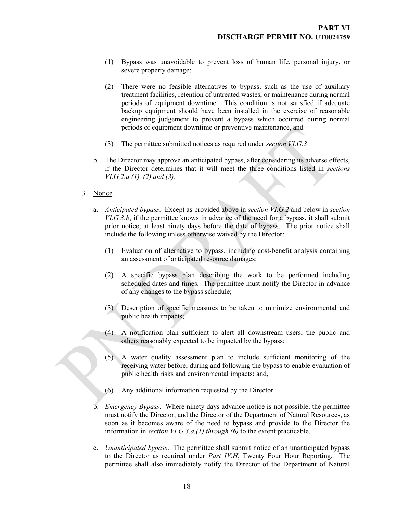- (1) Bypass was unavoidable to prevent loss of human life, personal injury, or severe property damage;
- (2) There were no feasible alternatives to bypass, such as the use of auxiliary treatment facilities, retention of untreated wastes, or maintenance during normal periods of equipment downtime. This condition is not satisfied if adequate backup equipment should have been installed in the exercise of reasonable engineering judgement to prevent a bypass which occurred during normal periods of equipment downtime or preventive maintenance, and
- (3) The permittee submitted notices as required under *section VI.G.3*.
- b. The Director may approve an anticipated bypass, after considering its adverse effects, if the Director determines that it will meet the three conditions listed in sections  $VI.G.2.a (1), (2) and (3).$
- 3. Notice.
	- a. Anticipated bypass. Except as provided above in section  $VI.G.2$  and below in section VI.G.3.b, if the permittee knows in advance of the need for a bypass, it shall submit prior notice, at least ninety days before the date of bypass. The prior notice shall include the following unless otherwise waived by the Director:
		- (1) Evaluation of alternative to bypass, including cost-benefit analysis containing an assessment of anticipated resource damages:
		- (2) A specific bypass plan describing the work to be performed including scheduled dates and times. The permittee must notify the Director in advance of any changes to the bypass schedule;
		- (3) Description of specific measures to be taken to minimize environmental and public health impacts;
		- (4) A notification plan sufficient to alert all downstream users, the public and others reasonably expected to be impacted by the bypass;
		- (5) A water quality assessment plan to include sufficient monitoring of the receiving water before, during and following the bypass to enable evaluation of public health risks and environmental impacts; and,
		- (6) Any additional information requested by the Director.
	- b. Emergency Bypass. Where ninety days advance notice is not possible, the permittee must notify the Director, and the Director of the Department of Natural Resources, as soon as it becomes aware of the need to bypass and provide to the Director the information in section  $VI.G.3.a.(1)$  through (6) to the extent practicable.
	- c. Unanticipated bypass. The permittee shall submit notice of an unanticipated bypass to the Director as required under Part IV.H, Twenty Four Hour Reporting. The permittee shall also immediately notify the Director of the Department of Natural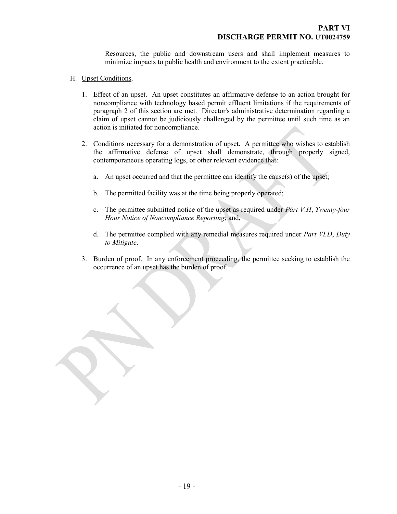Resources, the public and downstream users and shall implement measures to minimize impacts to public health and environment to the extent practicable.

- H. Upset Conditions.
	- 1. Effect of an upset. An upset constitutes an affirmative defense to an action brought for noncompliance with technology based permit effluent limitations if the requirements of paragraph 2 of this section are met. Director's administrative determination regarding a claim of upset cannot be judiciously challenged by the permittee until such time as an action is initiated for noncompliance.
	- 2. Conditions necessary for a demonstration of upset. A permittee who wishes to establish the affirmative defense of upset shall demonstrate, through properly signed, contemporaneous operating logs, or other relevant evidence that:
		- a. An upset occurred and that the permittee can identify the cause(s) of the upset;
		- b. The permitted facility was at the time being properly operated;
		- c. The permittee submitted notice of the upset as required under Part V.H, Twenty-four Hour Notice of Noncompliance Reporting; and,
		- d. The permittee complied with any remedial measures required under *Part VI.D, Duty* to Mitigate.
	- 3. Burden of proof. In any enforcement proceeding, the permittee seeking to establish the occurrence of an upset has the burden of proof.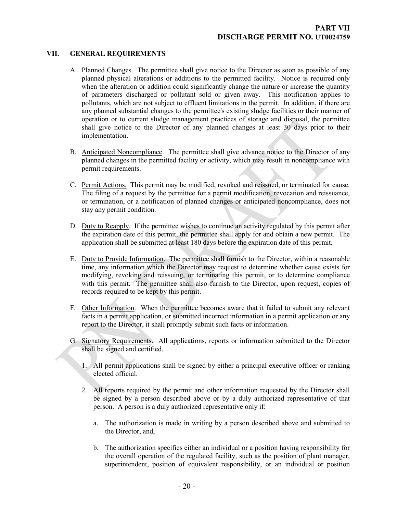#### VII. GENERAL REQUIREMENTS

- A. Planned Changes. The permittee shall give notice to the Director as soon as possible of any planned physical alterations or additions to the permitted facility. Notice is required only when the alteration or addition could significantly change the nature or increase the quantity of parameters discharged or pollutant sold or given away. This notification applies to pollutants, which are not subject to effluent limitations in the permit. In addition, if there are any planned substantial changes to the permittee's existing sludge facilities or their manner of operation or to current sludge management practices of storage and disposal, the permittee shall give notice to the Director of any planned changes at least 30 days prior to their implementation.
- B. Anticipated Noncompliance. The permittee shall give advance notice to the Director of any planned changes in the permitted facility or activity, which may result in noncompliance with permit requirements.
- C. Permit Actions. This permit may be modified, revoked and reissued, or terminated for cause. The filing of a request by the permittee for a permit modification, revocation and reissuance, or termination, or a notification of planned changes or anticipated noncompliance, does not stay any permit condition.
- D. Duty to Reapply. If the permittee wishes to continue an activity regulated by this permit after the expiration date of this permit, the permittee shall apply for and obtain a new permit. The application shall be submitted at least 180 days before the expiration date of this permit.
- E. Duty to Provide Information. The permittee shall furnish to the Director, within a reasonable time, any information which the Director may request to determine whether cause exists for modifying, revoking and reissuing, or terminating this permit, or to determine compliance with this permit. The permittee shall also furnish to the Director, upon request, copies of records required to be kept by this permit.
- F. Other Information. When the permittee becomes aware that it failed to submit any relevant facts in a permit application, or submitted incorrect information in a permit application or any report to the Director, it shall promptly submit such facts or information.
- G. Signatory Requirements. All applications, reports or information submitted to the Director shall be signed and certified.
	- 1. All permit applications shall be signed by either a principal executive officer or ranking elected official.
	- 2. All reports required by the permit and other information requested by the Director shall be signed by a person described above or by a duly authorized representative of that person. A person is a duly authorized representative only if:
		- a. The authorization is made in writing by a person described above and submitted to the Director, and,
		- b. The authorization specifies either an individual or a position having responsibility for the overall operation of the regulated facility, such as the position of plant manager, superintendent, position of equivalent responsibility, or an individual or position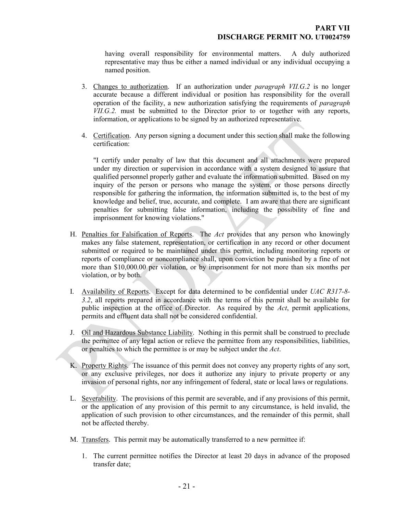having overall responsibility for environmental matters. A duly authorized representative may thus be either a named individual or any individual occupying a named position.

- 3. Changes to authorization. If an authorization under *paragraph VII.G.2* is no longer accurate because a different individual or position has responsibility for the overall operation of the facility, a new authorization satisfying the requirements of paragraph VII.G.2. must be submitted to the Director prior to or together with any reports, information, or applications to be signed by an authorized representative.
- 4. Certification. Any person signing a document under this section shall make the following certification:

"I certify under penalty of law that this document and all attachments were prepared under my direction or supervision in accordance with a system designed to assure that qualified personnel properly gather and evaluate the information submitted. Based on my inquiry of the person or persons who manage the system, or those persons directly responsible for gathering the information, the information submitted is, to the best of my knowledge and belief, true, accurate, and complete. I am aware that there are significant penalties for submitting false information, including the possibility of fine and imprisonment for knowing violations."

- H. Penalties for Falsification of Reports. The Act provides that any person who knowingly makes any false statement, representation, or certification in any record or other document submitted or required to be maintained under this permit, including monitoring reports or reports of compliance or noncompliance shall, upon conviction be punished by a fine of not more than \$10,000.00 per violation, or by imprisonment for not more than six months per violation, or by both.
- I. Availability of Reports. Except for data determined to be confidential under UAC R317-8- 3.2, all reports prepared in accordance with the terms of this permit shall be available for public inspection at the office of Director. As required by the Act, permit applications, permits and effluent data shall not be considered confidential.
- J. Oil and Hazardous Substance Liability. Nothing in this permit shall be construed to preclude the permittee of any legal action or relieve the permittee from any responsibilities, liabilities, or penalties to which the permittee is or may be subject under the Act.
- K. Property Rights. The issuance of this permit does not convey any property rights of any sort, or any exclusive privileges, nor does it authorize any injury to private property or any invasion of personal rights, nor any infringement of federal, state or local laws or regulations.
- L. Severability. The provisions of this permit are severable, and if any provisions of this permit, or the application of any provision of this permit to any circumstance, is held invalid, the application of such provision to other circumstances, and the remainder of this permit, shall not be affected thereby.
- M. Transfers. This permit may be automatically transferred to a new permittee if:
	- 1. The current permittee notifies the Director at least 20 days in advance of the proposed transfer date;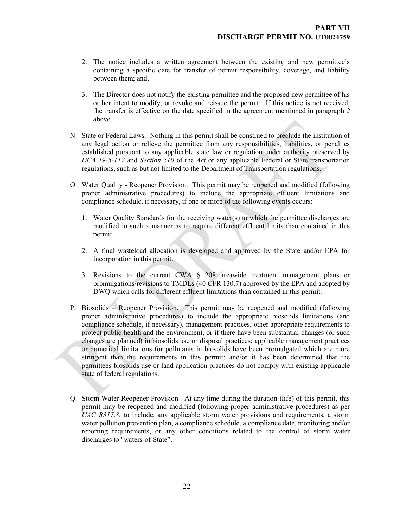- 2. The notice includes a written agreement between the existing and new permittee's containing a specific date for transfer of permit responsibility, coverage, and liability between them; and,
- 3. The Director does not notify the existing permittee and the proposed new permittee of his or her intent to modify, or revoke and reissue the permit. If this notice is not received, the transfer is effective on the date specified in the agreement mentioned in paragraph 2 above.
- N. State or Federal Laws. Nothing in this permit shall be construed to preclude the institution of any legal action or relieve the permittee from any responsibilities, liabilities, or penalties established pursuant to any applicable state law or regulation under authority preserved by UCA 19-5-117 and Section 510 of the Act or any applicable Federal or State transportation regulations, such as but not limited to the Department of Transportation regulations.
- O. Water Quality Reopener Provision. This permit may be reopened and modified (following proper administrative procedures) to include the appropriate effluent limitations and compliance schedule, if necessary, if one or more of the following events occurs:
	- 1. Water Quality Standards for the receiving water(s) to which the permittee discharges are modified in such a manner as to require different effluent limits than contained in this permit.
	- 2. A final wasteload allocation is developed and approved by the State and/or EPA for incorporation in this permit.
	- 3. Revisions to the current CWA § 208 areawide treatment management plans or promulgations/revisions to TMDLs (40 CFR 130.7) approved by the EPA and adopted by DWQ which calls for different effluent limitations than contained in this permit.
- P. Biosolids Reopener Provision. This permit may be reopened and modified (following proper administrative procedures) to include the appropriate biosolids limitations (and compliance schedule, if necessary), management practices, other appropriate requirements to protect public health and the environment, or if there have been substantial changes (or such changes are planned) in biosolids use or disposal practices; applicable management practices or numerical limitations for pollutants in biosolids have been promulgated which are more stringent than the requirements in this permit; and/or it has been determined that the permittees biosolids use or land application practices do not comply with existing applicable state of federal regulations.
- Q. Storm Water-Reopener Provision. At any time during the duration (life) of this permit, this permit may be reopened and modified (following proper administrative procedures) as per UAC R317.8, to include, any applicable storm water provisions and requirements, a storm water pollution prevention plan, a compliance schedule, a compliance date, monitoring and/or reporting requirements, or any other conditions related to the control of storm water discharges to "waters-of-State".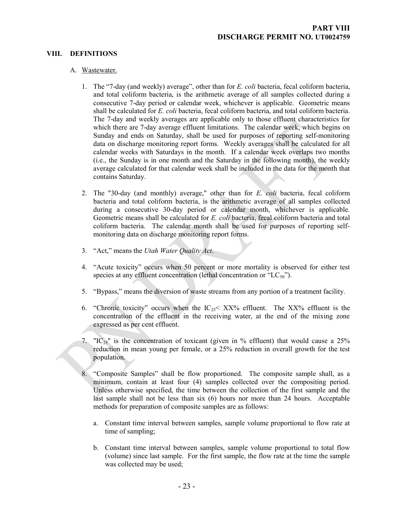#### VIII. DEFINITIONS

#### A. Wastewater.

- 1. The "7-day (and weekly) average", other than for  $E$ , coli bacteria, fecal coliform bacteria, and total coliform bacteria, is the arithmetic average of all samples collected during a consecutive 7-day period or calendar week, whichever is applicable. Geometric means shall be calculated for E. coli bacteria, fecal coliform bacteria, and total coliform bacteria. The 7-day and weekly averages are applicable only to those effluent characteristics for which there are 7-day average effluent limitations. The calendar week, which begins on Sunday and ends on Saturday, shall be used for purposes of reporting self-monitoring data on discharge monitoring report forms. Weekly averages shall be calculated for all calendar weeks with Saturdays in the month. If a calendar week overlaps two months (i.e., the Sunday is in one month and the Saturday in the following month), the weekly average calculated for that calendar week shall be included in the data for the month that contains Saturday.
- 2. The "30-day (and monthly) average," other than for E. coli bacteria, fecal coliform bacteria and total coliform bacteria, is the arithmetic average of all samples collected during a consecutive 30-day period or calendar month, whichever is applicable. Geometric means shall be calculated for E. coli bacteria, fecal coliform bacteria and total coliform bacteria. The calendar month shall be used for purposes of reporting selfmonitoring data on discharge monitoring report forms.
- 3. "Act," means the Utah Water Quality Act.
- 4. "Acute toxicity" occurs when 50 percent or more mortality is observed for either test species at any effluent concentration (lethal concentration or " $LC_{50}$ ").
- 5. "Bypass," means the diversion of waste streams from any portion of a treatment facility.
- 6. "Chronic toxicity" occurs when the  $IC_{25}$ < XX% effluent. The XX% effluent is the concentration of the effluent in the receiving water, at the end of the mixing zone expressed as per cent effluent.
- 7. "IC<sub>25</sub>" is the concentration of toxicant (given in % effluent) that would cause a 25% reduction in mean young per female, or a 25% reduction in overall growth for the test population.
- 8. "Composite Samples" shall be flow proportioned. The composite sample shall, as a minimum, contain at least four (4) samples collected over the compositing period. Unless otherwise specified, the time between the collection of the first sample and the last sample shall not be less than six (6) hours nor more than 24 hours. Acceptable methods for preparation of composite samples are as follows:
	- a. Constant time interval between samples, sample volume proportional to flow rate at time of sampling;
	- b. Constant time interval between samples, sample volume proportional to total flow (volume) since last sample. For the first sample, the flow rate at the time the sample was collected may be used;